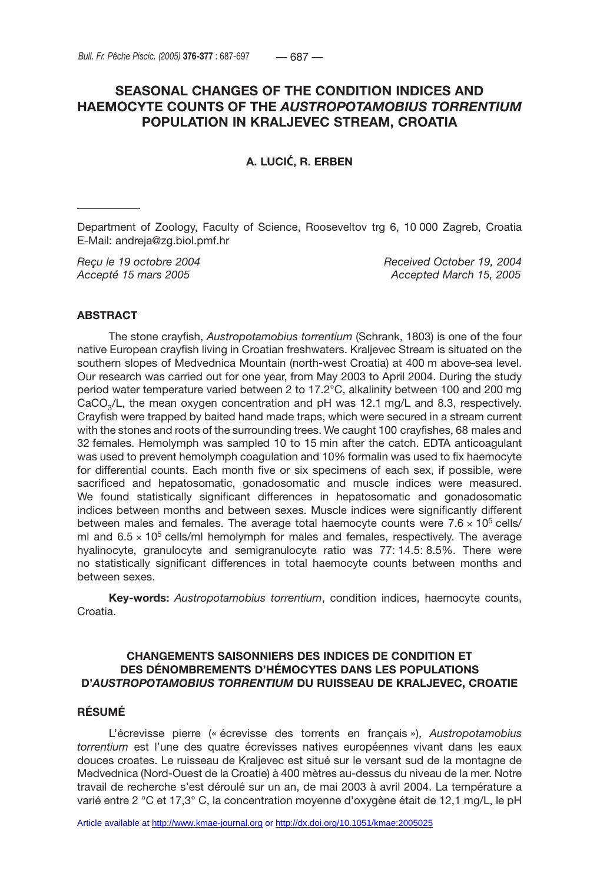# **SEASONAL CHANGES OF THE CONDITION INDICES AND HAEMOCYTE COUNTS OF THE** *AUSTROPOTAMOBIUS TORRENTIUM* **POPULATION IN KRALJEVEC STREAM, CROATIA**

**A. LUCI**Ć**, R. ERBEN**

Department of Zoology, Faculty of Science, Rooseveltov trg 6, 10 000 Zagreb, Croatia E-Mail: andreja@zg.biol.pmf.hr

*Reçu le 19 octobre 2004 Received October 19, 2004 Accepté 15 mars 2005 Accepted March 15, 2005*

### **ABSTRACT**

The stone crayfish, *Austropotamobius torrentium* (Schrank, 1803) is one of the four native European crayfish living in Croatian freshwaters. Kraljevec Stream is situated on the southern slopes of Medvednica Mountain (north-west Croatia) at 400 m above sea level. Our research was carried out for one year, from May 2003 to April 2004. During the study period water temperature varied between 2 to 17.2°C, alkalinity between 100 and 200 mg  $CaCO<sub>3</sub>/L$ , the mean oxygen concentration and pH was 12.1 mg/L and 8.3, respectively. Crayfish were trapped by baited hand made traps, which were secured in a stream current with the stones and roots of the surrounding trees. We caught 100 crayfishes, 68 males and 32 females. Hemolymph was sampled 10 to 15 min after the catch. EDTA anticoagulant was used to prevent hemolymph coagulation and 10% formalin was used to fix haemocyte for differential counts. Each month five or six specimens of each sex, if possible, were sacrificed and hepatosomatic, gonadosomatic and muscle indices were measured. We found statistically significant differences in hepatosomatic and gonadosomatic indices between months and between sexes. Muscle indices were significantly different between males and females. The average total haemocyte counts were  $7.6 \times 10^5$  cells/ ml and  $6.5 \times 10^5$  cells/ml hemolymph for males and females, respectively. The average hyalinocyte, granulocyte and semigranulocyte ratio was 77: 14.5: 8.5%. There were no statistically significant differences in total haemocyte counts between months and between sexes.

**Key-words:** *Austropotamobius torrentium*, condition indices, haemocyte counts, Croatia.

### **CHANGEMENTS SAISONNIERS DES INDICES DE CONDITION ET DES DÉNOMBREMENTS D'HÉMOCYTES DANS LES POPULATIONS D'***AUSTROPOTAMOBIUS TORRENTIUM* **DU RUISSEAU DE KRALJEVEC, CROATIE**

# **RÉSUMÉ**

L'écrevisse pierre (« écrevisse des torrents en français »), *Austropotamobius torrentium* est l'une des quatre écrevisses natives européennes vivant dans les eaux douces croates. Le ruisseau de Kraljevec est situé sur le versant sud de la montagne de Medvednica (Nord-Ouest de la Croatie) à 400 mètres au-dessus du niveau de la mer. Notre travail de recherche s'est déroulé sur un an, de mai 2003 à avril 2004. La température a varié entre 2 °C et 17,3° C, la concentration moyenne d'oxygène était de 12,1 mg/L, le pH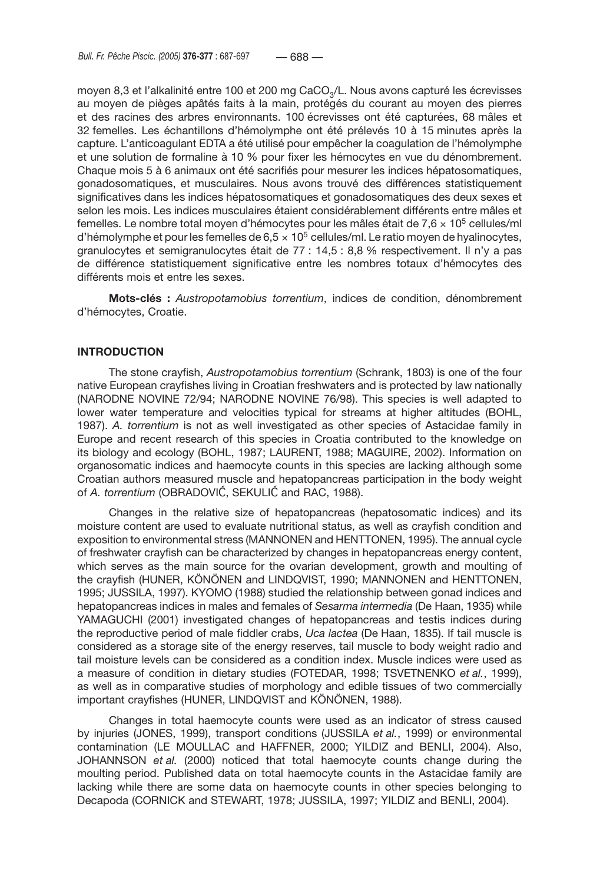moyen 8,3 et l'alkalinité entre 100 et 200 mg CaCO<sub>3</sub>/L. Nous avons capturé les écrevisses au moyen de pièges apâtés faits à la main, protégés du courant au moyen des pierres et des racines des arbres environnants. 100 écrevisses ont été capturées, 68 mâles et 32 femelles. Les échantillons d'hémolymphe ont été prélevés 10 à 15 minutes après la capture. L'anticoagulant EDTA a été utilisé pour empêcher la coagulation de l'hémolymphe et une solution de formaline à 10 % pour fixer les hémocytes en vue du dénombrement. Chaque mois 5 à 6 animaux ont été sacrifiés pour mesurer les indices hépatosomatiques, gonadosomatiques, et musculaires. Nous avons trouvé des différences statistiquement significatives dans les indices hépatosomatiques et gonadosomatiques des deux sexes et selon les mois. Les indices musculaires étaient considérablement différents entre mâles et femelles. Le nombre total moyen d'hémocytes pour les mâles était de 7,6  $\times$  10<sup>5</sup> cellules/ml d'hémolymphe et pour les femelles de  $6.5 \times 10^5$  cellules/ml. Le ratio moyen de hyalinocytes, granulocytes et semigranulocytes était de 77 : 14,5 : 8,8 % respectivement. Il n'y a pas de différence statistiquement significative entre les nombres totaux d'hémocytes des différents mois et entre les sexes.

**Mots-clés :** *Austropotamobius torrentium*, indices de condition, dénombrement d'hémocytes, Croatie.

# **INTRODUCTION**

The stone crayfish, *Austropotamobius torrentium* (Schrank, 1803) is one of the four native European crayfishes living in Croatian freshwaters and is protected by law nationally (NARODNE NOVINE 72/94; NARODNE NOVINE 76/98). This species is well adapted to lower water temperature and velocities typical for streams at higher altitudes (BOHL, 1987). *A. torrentium* is not as well investigated as other species of Astacidae family in Europe and recent research of this species in Croatia contributed to the knowledge on its biology and ecology (BOHL, 1987; LAURENT, 1988; MAGUIRE, 2002). Information on organosomatic indices and haemocyte counts in this species are lacking although some Croatian authors measured muscle and hepatopancreas participation in the body weight of *A. torrentium* (OBRADOVIĆ, SEKULIĆ and RAC, 1988).

Changes in the relative size of hepatopancreas (hepatosomatic indices) and its moisture content are used to evaluate nutritional status, as well as crayfish condition and exposition to environmental stress (MANNONEN and HENTTONEN, 1995). The annual cycle of freshwater crayfish can be characterized by changes in hepatopancreas energy content, which serves as the main source for the ovarian development, growth and moulting of the crayfish (HUNER, KÖNÖNEN and LINDQVIST, 1990; MANNONEN and HENTTONEN, 1995; JUSSILA, 1997). KYOMO (1988) studied the relationship between gonad indices and hepatopancreas indices in males and females of *Sesarma intermedia* (De Haan, 1935) while YAMAGUCHI (2001) investigated changes of hepatopancreas and testis indices during the reproductive period of male fiddler crabs, *Uca lactea* (De Haan, 1835). If tail muscle is considered as a storage site of the energy reserves, tail muscle to body weight radio and tail moisture levels can be considered as a condition index. Muscle indices were used as a measure of condition in dietary studies (FOTEDAR, 1998; TSVETNENKO *et al.*, 1999), as well as in comparative studies of morphology and edible tissues of two commercially important crayfishes (HUNER, LINDQVIST and KÖNÖNEN, 1988).

Changes in total haemocyte counts were used as an indicator of stress caused by injuries (JONES, 1999), transport conditions (JUSSILA *et al.*, 1999) or environmental contamination (LE MOULLAC and HAFFNER, 2000; YILDIZ and BENLI, 2004). Also, JOHANNSON *et al.* (2000) noticed that total haemocyte counts change during the moulting period. Published data on total haemocyte counts in the Astacidae family are lacking while there are some data on haemocyte counts in other species belonging to Decapoda (CORNICK and STEWART, 1978; JUSSILA, 1997; YILDIZ and BENLI, 2004).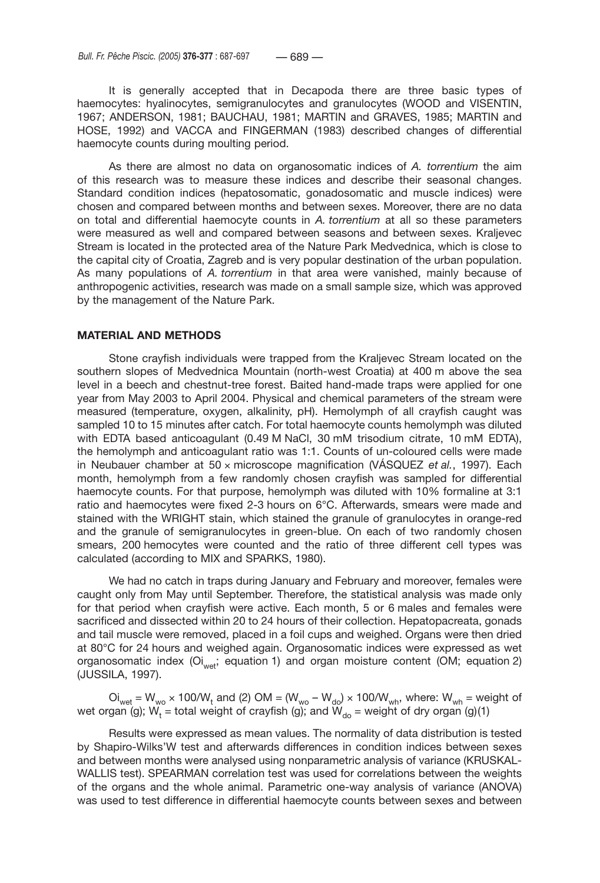It is generally accepted that in Decapoda there are three basic types of haemocytes: hyalinocytes, semigranulocytes and granulocytes (WOOD and VISENTIN, 1967; ANDERSON, 1981; BAUCHAU, 1981; MARTIN and GRAVES, 1985; MARTIN and HOSE, 1992) and VACCA and FINGERMAN (1983) described changes of differential haemocyte counts during moulting period.

As there are almost no data on organosomatic indices of *A. torrentium* the aim of this research was to measure these indices and describe their seasonal changes. Standard condition indices (hepatosomatic, gonadosomatic and muscle indices) were chosen and compared between months and between sexes. Moreover, there are no data on total and differential haemocyte counts in *A. torrentium* at all so these parameters were measured as well and compared between seasons and between sexes. Kraljevec Stream is located in the protected area of the Nature Park Medvednica, which is close to the capital city of Croatia, Zagreb and is very popular destination of the urban population. As many populations of *A. torrentium* in that area were vanished, mainly because of anthropogenic activities, research was made on a small sample size, which was approved by the management of the Nature Park.

#### **MATERIAL AND METHODS**

Stone crayfish individuals were trapped from the Kraljevec Stream located on the southern slopes of Medvednica Mountain (north-west Croatia) at 400 m above the sea level in a beech and chestnut-tree forest. Baited hand-made traps were applied for one year from May 2003 to April 2004. Physical and chemical parameters of the stream were measured (temperature, oxygen, alkalinity, pH). Hemolymph of all crayfish caught was sampled 10 to 15 minutes after catch. For total haemocyte counts hemolymph was diluted with EDTA based anticoagulant (0.49 M NaCl, 30 mM trisodium citrate, 10 mM EDTA), the hemolymph and anticoagulant ratio was 1:1. Counts of un-coloured cells were made in Neubauer chamber at 50 × microscope magnification (VÁSQUEZ *et al.*, 1997). Each month, hemolymph from a few randomly chosen crayfish was sampled for differential haemocyte counts. For that purpose, hemolymph was diluted with 10% formaline at 3:1 ratio and haemocytes were fixed 2-3 hours on 6°C. Afterwards, smears were made and stained with the WRIGHT stain, which stained the granule of granulocytes in orange-red and the granule of semigranulocytes in green-blue. On each of two randomly chosen smears, 200 hemocytes were counted and the ratio of three different cell types was calculated (according to MIX and SPARKS, 1980).

We had no catch in traps during January and February and moreover, females were caught only from May until September. Therefore, the statistical analysis was made only for that period when crayfish were active. Each month, 5 or 6 males and females were sacrificed and dissected within 20 to 24 hours of their collection. Hepatopacreata, gonads and tail muscle were removed, placed in a foil cups and weighed. Organs were then dried at 80°C for 24 hours and weighed again. Organosomatic indices were expressed as wet organosomatic index (Oi<sub>wet</sub>; equation 1) and organ moisture content (OM; equation 2) (JUSSILA, 1997).

Oi<sub>wet</sub> = W<sub>wo</sub> × 100/W<sub>t</sub> and (2) OM = (W<sub>wo</sub> – W<sub>do</sub>) × 100/W<sub>wh</sub>, where: W<sub>wh</sub> = weight of wet organ (g);  $\mathsf{W}_\mathsf{t}$  = total weight of crayfish (g); and  $\mathsf{W}_\mathsf{do}$  = weight of dry organ (g)(1)

Results were expressed as mean values. The normality of data distribution is tested by Shapiro-Wilks'W test and afterwards differences in condition indices between sexes and between months were analysed using nonparametric analysis of variance (KRUSKAL-WALLIS test). SPEARMAN correlation test was used for correlations between the weights of the organs and the whole animal. Parametric one-way analysis of variance (ANOVA) was used to test difference in differential haemocyte counts between sexes and between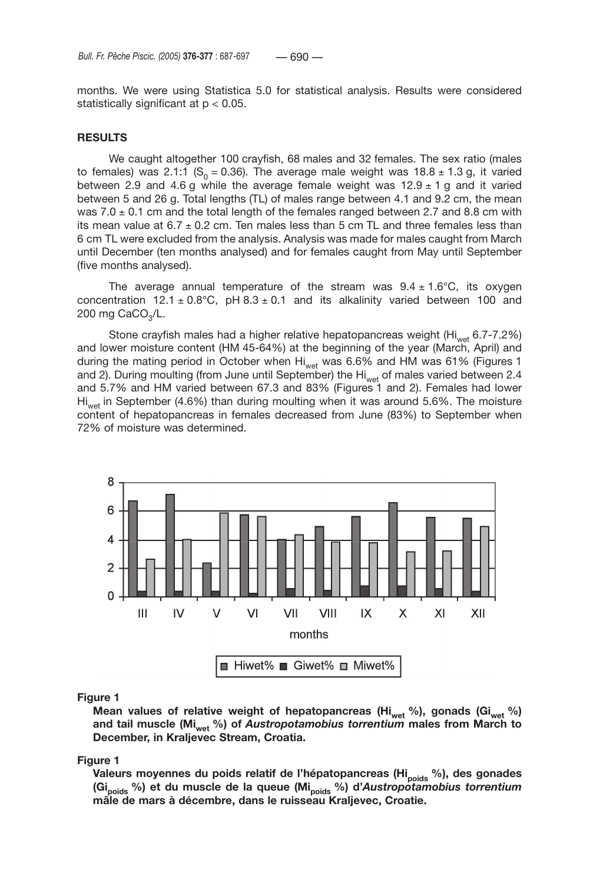months. We were using Statistica 5.0 for statistical analysis. Results were considered statistically significant at p < 0.05.

### **RESULTS**

We caught altogether 100 crayfish, 68 males and 32 females. The sex ratio (males to females) was 2.1:1 (S<sub>0</sub> = 0.36). The average male weight was 18.8  $\pm$  1.3 g, it varied between 2.9 and 4.6 g while the average female weight was  $12.9 \pm 1$  g and it varied between 5 and 26 g. Total lengths (TL) of males range between 4.1 and 9.2 cm, the mean was 7.0  $\pm$  0.1 cm and the total length of the females ranged between 2.7 and 8.8 cm with its mean value at  $6.7 \pm 0.2$  cm. Ten males less than 5 cm TL and three females less than 6 cm TL were excluded from the analysis. Analysis was made for males caught from March until December (ten months analysed) and for females caught from May until September (five months analysed).

The average annual temperature of the stream was  $9.4 \pm 1.6^{\circ}$ C, its oxygen concentration 12.1  $\pm$  0.8°C, pH 8.3  $\pm$  0.1 and its alkalinity varied between 100 and 200 mg  $CaCO<sub>3</sub>/L$ .

Stone crayfish males had a higher relative hepatopancreas weight (Hi<sub>wet</sub> 6.7-7.2%) and lower moisture content (HM 45-64%) at the beginning of the year (March, April) and during the mating period in October when Hi<sub>wet</sub> was 6.6% and HM was 61% (Figures 1 and 2). During moulting (from June until September) the Hi<sub>wet</sub> of males varied between 2.4 and 5.7% and HM varied between 67.3 and 83% (Figures 1 and 2). Females had lower  $H_{\text{burst}}$  in September (4.6%) than during moulting when it was around 5.6%. The moisture content of hepatopancreas in females decreased from June (83%) to September when 72% of moisture was determined.



#### **Figure 1**

Mean values of relative weight of hepatopancreas (Hi<sub>wet</sub> %), gonads (Gi<sub>wet</sub> %) and tail muscle (Mi<sub>wet</sub> %) of *Austropotamobius torrentium* males from March to **December, in Kraljevec Stream, Croatia.**

#### **Figure 1**

Valeurs moyennes du poids relatif de l'hépatopancreas (Hi<sub>poids</sub> %), des gonades **(Gipoids %) et du muscle de la queue (Mipoids %) d'***Austropotamobius torrentium* **mâle de mars à décembre, dans le ruisseau Kraljevec, Croatie.**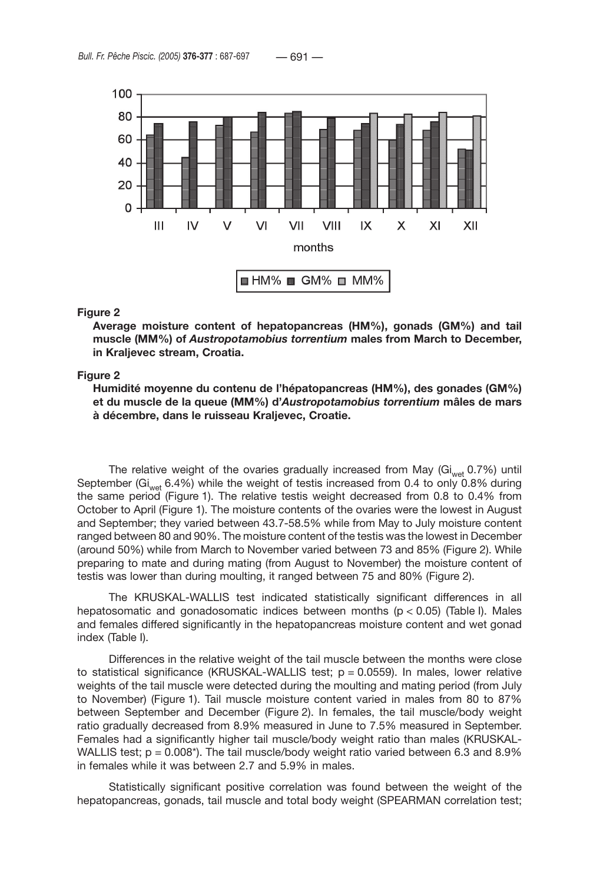

#### **Figure 2**

**Average moisture content of hepatopancreas (HM%), gonads (GM%) and tail muscle (MM%) of** *Austropotamobius torrentium* **males from March to December, in Kraljevec stream, Croatia.**

#### **Figure 2**

**Humidité moyenne du contenu de l'hépatopancreas (HM%), des gonades (GM%) et du muscle de la queue (MM%) d'***Austropotamobius torrentium* **mâles de mars à décembre, dans le ruisseau Kraljevec, Croatie.**

The relative weight of the ovaries gradually increased from May ( $Gi_{wet}$  0.7%) until September (Gi<sub>wet</sub> 6.4%) while the weight of testis increased from 0.4 to only 0.8% during the same period (Figure 1). The relative testis weight decreased from 0.8 to 0.4% from October to April (Figure 1). The moisture contents of the ovaries were the lowest in August and September; they varied between 43.7-58.5% while from May to July moisture content ranged between 80 and 90%. The moisture content of the testis was the lowest in December (around 50%) while from March to November varied between 73 and 85% (Figure 2). While preparing to mate and during mating (from August to November) the moisture content of testis was lower than during moulting, it ranged between 75 and 80% (Figure 2).

The KRUSKAL-WALLIS test indicated statistically significant differences in all hepatosomatic and gonadosomatic indices between months ( $p < 0.05$ ) (Table I). Males and females differed significantly in the hepatopancreas moisture content and wet gonad index (Table I).

Differences in the relative weight of the tail muscle between the months were close to statistical significance (KRUSKAL-WALLIS test;  $p = 0.0559$ ). In males, lower relative weights of the tail muscle were detected during the moulting and mating period (from July to November) (Figure 1). Tail muscle moisture content varied in males from 80 to 87% between September and December (Figure 2). In females, the tail muscle/body weight ratio gradually decreased from 8.9% measured in June to 7.5% measured in September. Females had a significantly higher tail muscle/body weight ratio than males (KRUSKAL-WALLIS test;  $p = 0.008$ <sup>\*</sup>). The tail muscle/body weight ratio varied between 6.3 and 8.9% in females while it was between 2.7 and 5.9% in males.

Statistically significant positive correlation was found between the weight of the hepatopancreas, gonads, tail muscle and total body weight (SPEARMAN correlation test;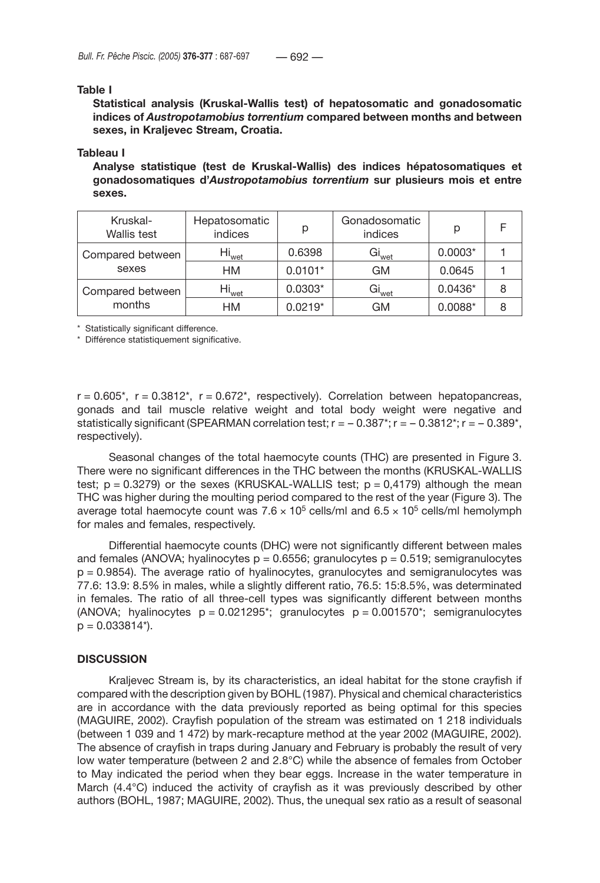### **Table I**

**Statistical analysis (Kruskal-Wallis test) of hepatosomatic and gonadosomatic indices of** *Austropotamobius torrentium* **compared between months and between sexes, in Kraljevec Stream, Croatia.**

#### **Tableau I**

**Analyse statistique (test de Kruskal-Wallis) des indices hépatosomatiques et gonadosomatiques d'***Austropotamobius torrentium* **sur plusieurs mois et entre sexes.** 

| Kruskal-<br>Wallis test    | Hepatosomatic<br>indices | р         | Gonadosomatic<br>indices | p         |   |
|----------------------------|--------------------------|-----------|--------------------------|-----------|---|
| Compared between<br>sexes  | Hi <sub>wet</sub>        | 0.6398    | Gi <sub>wet</sub>        | $0.0003*$ |   |
|                            | HМ                       | $0.0101*$ | <b>GM</b>                | 0.0645    |   |
| Compared between<br>months | Hi <sub>wet</sub>        | $0.0303*$ | Gi <sub>wet</sub>        | $0.0436*$ | 8 |
|                            | HМ                       | $0.0219*$ | GМ                       | $0.0088*$ |   |

\* Statistically significant difference.

\* Différence statistiquement significative.

 $r = 0.605$ \*,  $r = 0.3812$ \*,  $r = 0.672$ \*, respectively). Correlation between hepatopancreas, gonads and tail muscle relative weight and total body weight were negative and statistically significant (SPEARMAN correlation test;  $r = -0.387$ \*;  $r = -0.3812$ \*;  $r = -0.389$ \*, respectively).

Seasonal changes of the total haemocyte counts (THC) are presented in Figure 3. There were no significant differences in the THC between the months (KRUSKAL-WALLIS test;  $p = 0.3279$ ) or the sexes (KRUSKAL-WALLIS test;  $p = 0.4179$ ) although the mean THC was higher during the moulting period compared to the rest of the year (Figure 3). The average total haemocyte count was  $7.6 \times 10^5$  cells/ml and  $6.5 \times 10^5$  cells/ml hemolymph for males and females, respectively.

Differential haemocyte counts (DHC) were not significantly different between males and females (ANOVA; hyalinocytes  $p = 0.6556$ ; granulocytes  $p = 0.519$ ; semigranulocytes p = 0.9854). The average ratio of hyalinocytes, granulocytes and semigranulocytes was 77.6: 13.9: 8.5% in males, while a slightly different ratio, 76.5: 15:8.5%, was determinated in females. The ratio of all three-cell types was significantly different between months (ANOVA; hyalinocytes  $p = 0.021295$ ; granulocytes  $p = 0.001570$ ; semigranulocytes  $p = 0.033814$ <sup>\*</sup>).

### **DISCUSSION**

Kraljevec Stream is, by its characteristics, an ideal habitat for the stone crayfish if compared with the description given by BOHL (1987). Physical and chemical characteristics are in accordance with the data previously reported as being optimal for this species (MAGUIRE, 2002). Crayfish population of the stream was estimated on 1 218 individuals (between 1 039 and 1 472) by mark-recapture method at the year 2002 (MAGUIRE, 2002). The absence of crayfish in traps during January and February is probably the result of very low water temperature (between 2 and 2.8°C) while the absence of females from October to May indicated the period when they bear eggs. Increase in the water temperature in March (4.4°C) induced the activity of crayfish as it was previously described by other authors (BOHL, 1987; MAGUIRE, 2002). Thus, the unequal sex ratio as a result of seasonal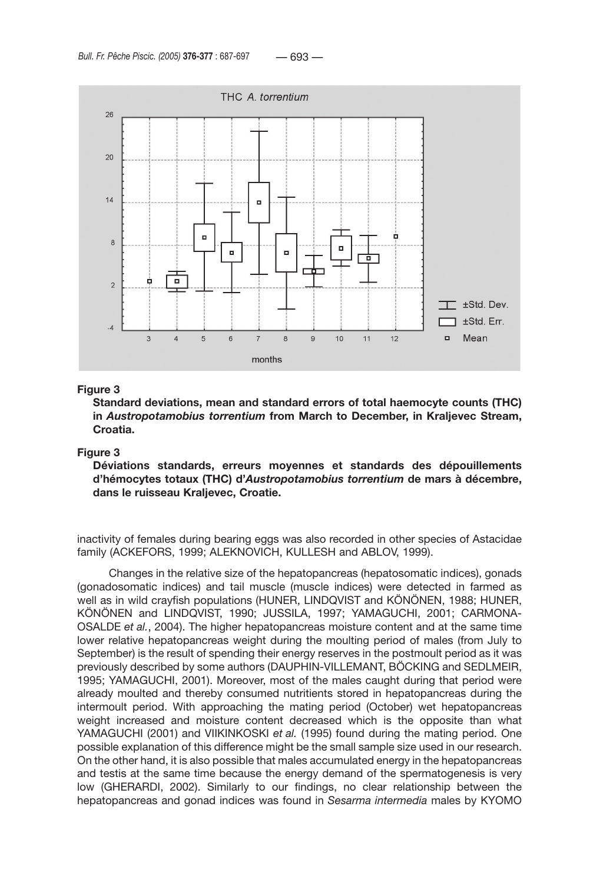

### **Figure 3**

**Standard deviations, mean and standard errors of total haemocyte counts (THC) in** *Austropotamobius torrentium* **from March to December, in Kraljevec Stream, Croatia.**

#### **Figure 3**

**Déviations standards, erreurs moyennes et standards des dépouillements d'hémocytes totaux (THC) d'***Austropotamobius torrentium* **de mars à décembre, dans le ruisseau Kraljevec, Croatie.**

inactivity of females during bearing eggs was also recorded in other species of Astacidae family (ACKEFORS, 1999; ALEKNOVICH, KULLESH and ABLOV, 1999).

Changes in the relative size of the hepatopancreas (hepatosomatic indices), gonads (gonadosomatic indices) and tail muscle (muscle indices) were detected in farmed as well as in wild crayfish populations (HUNER, LINDQVIST and KÖNÖNEN, 1988; HUNER, KÖNÖNEN and LINDQVIST, 1990; JUSSILA, 1997; YAMAGUCHI, 2001; CARMONA-OSALDE *et al.*, 2004). The higher hepatopancreas moisture content and at the same time lower relative hepatopancreas weight during the moulting period of males (from July to September) is the result of spending their energy reserves in the postmoult period as it was previously described by some authors (DAUPHIN-VILLEMANT, BÖCKING and SEDLMEIR, 1995; YAMAGUCHI, 2001). Moreover, most of the males caught during that period were already moulted and thereby consumed nutritients stored in hepatopancreas during the intermoult period. With approaching the mating period (October) wet hepatopancreas weight increased and moisture content decreased which is the opposite than what YAMAGUCHI (2001) and VIIKINKOSKI *et al.* (1995) found during the mating period. One possible explanation of this difference might be the small sample size used in our research. On the other hand, it is also possible that males accumulated energy in the hepatopancreas and testis at the same time because the energy demand of the spermatogenesis is very low (GHERARDI, 2002). Similarly to our findings, no clear relationship between the hepatopancreas and gonad indices was found in *Sesarma intermedia* males by KYOMO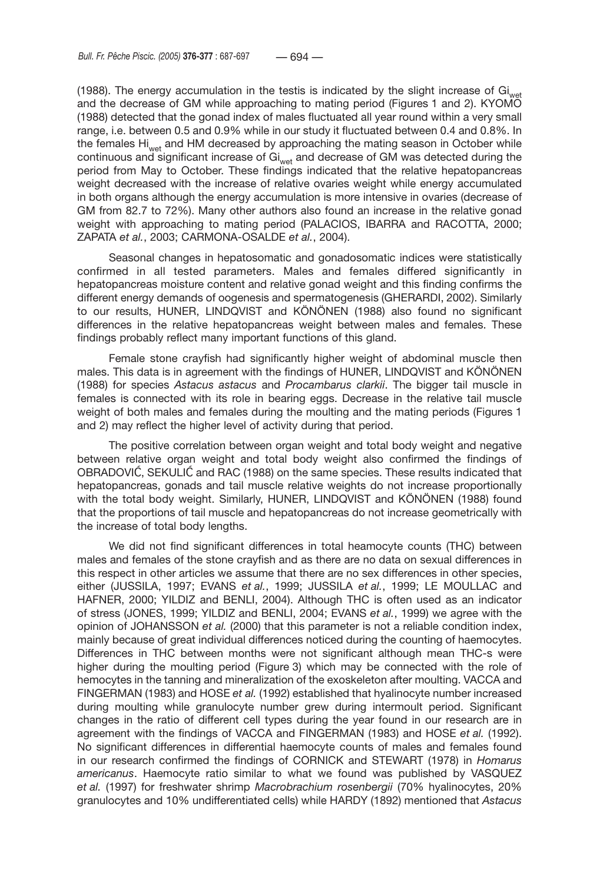(1988). The energy accumulation in the testis is indicated by the slight increase of  $Gi<sub>wat</sub>$ and the decrease of GM while approaching to mating period (Figures 1 and 2). KYOMO (1988) detected that the gonad index of males fluctuated all year round within a very small range, i.e. between 0.5 and 0.9% while in our study it fluctuated between 0.4 and 0.8%. In the females Hi<sub>wet</sub> and HM decreased by approaching the mating season in October while continuous and significant increase of  $Gi<sub>wet</sub>$  and decrease of GM was detected during the period from May to October. These findings indicated that the relative hepatopancreas weight decreased with the increase of relative ovaries weight while energy accumulated in both organs although the energy accumulation is more intensive in ovaries (decrease of GM from 82.7 to 72%). Many other authors also found an increase in the relative gonad weight with approaching to mating period (PALACIOS, IBARRA and RACOTTA, 2000; ZAPATA *et al.*, 2003; CARMONA-OSALDE *et al.*, 2004).

Seasonal changes in hepatosomatic and gonadosomatic indices were statistically confirmed in all tested parameters. Males and females differed significantly in hepatopancreas moisture content and relative gonad weight and this finding confirms the different energy demands of oogenesis and spermatogenesis (GHERARDI, 2002). Similarly to our results, HUNER, LINDQVIST and KÖNÖNEN (1988) also found no significant differences in the relative hepatopancreas weight between males and females. These findings probably reflect many important functions of this gland.

Female stone crayfish had significantly higher weight of abdominal muscle then males. This data is in agreement with the findings of HUNER, LINDQVIST and KÖNÖNEN (1988) for species *Astacus astacus* and *Procambarus clarkii*. The bigger tail muscle in females is connected with its role in bearing eggs. Decrease in the relative tail muscle weight of both males and females during the moulting and the mating periods (Figures 1 and 2) may reflect the higher level of activity during that period.

The positive correlation between organ weight and total body weight and negative between relative organ weight and total body weight also confirmed the findings of OBRADOVIĆ, SEKULIĆ and RAC (1988) on the same species. These results indicated that hepatopancreas, gonads and tail muscle relative weights do not increase proportionally with the total body weight. Similarly, HUNER, LINDQVIST and KÖNÖNEN (1988) found that the proportions of tail muscle and hepatopancreas do not increase geometrically with the increase of total body lengths.

We did not find significant differences in total heamocyte counts (THC) between males and females of the stone crayfish and as there are no data on sexual differences in this respect in other articles we assume that there are no sex differences in other species, either (JUSSILA, 1997; EVANS *et al.*, 1999; JUSSILA *et al.*, 1999; LE MOULLAC and HAFNER, 2000; YILDIZ and BENLI, 2004). Although THC is often used as an indicator of stress (JONES, 1999; YILDIZ and BENLI, 2004; EVANS *et al.*, 1999) we agree with the opinion of JOHANSSON *et al.* (2000) that this parameter is not a reliable condition index, mainly because of great individual differences noticed during the counting of haemocytes. Differences in THC between months were not significant although mean THC-s were higher during the moulting period (Figure 3) which may be connected with the role of hemocytes in the tanning and mineralization of the exoskeleton after moulting. VACCA and FINGERMAN (1983) and HOSE *et al.* (1992) established that hyalinocyte number increased during moulting while granulocyte number grew during intermoult period. Significant changes in the ratio of different cell types during the year found in our research are in agreement with the findings of VACCA and FINGERMAN (1983) and HOSE *et al.* (1992). No significant differences in differential haemocyte counts of males and females found in our research confirmed the findings of CORNICK and STEWART (1978) in *Homarus americanus*. Haemocyte ratio similar to what we found was published by VASQUEZ *et al.* (1997) for freshwater shrimp *Macrobrachium rosenbergii* (70% hyalinocytes, 20% granulocytes and 10% undifferentiated cells) while HARDY (1892) mentioned that *Astacus*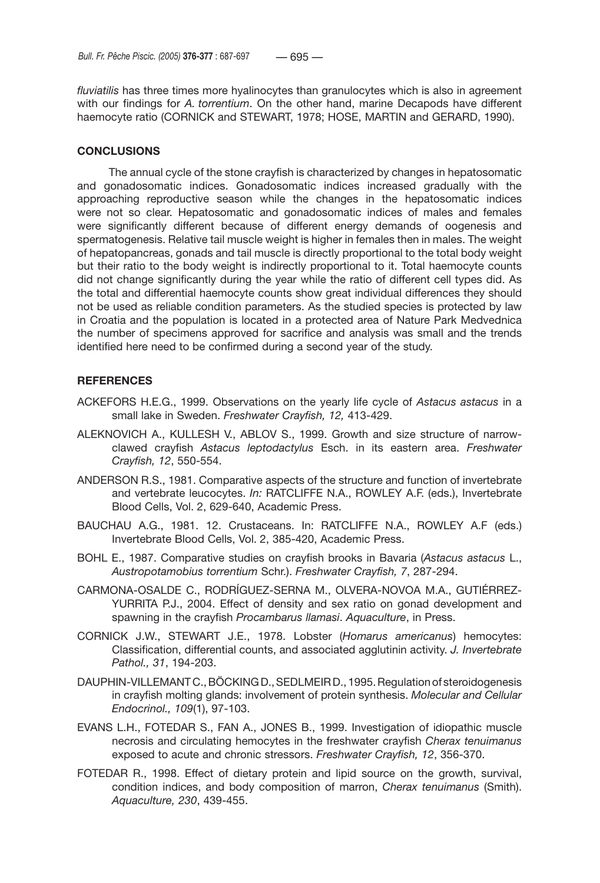*fluviatilis* has three times more hyalinocytes than granulocytes which is also in agreement with our findings for *A. torrentium*. On the other hand, marine Decapods have different haemocyte ratio (CORNICK and STEWART, 1978; HOSE, MARTIN and GERARD, 1990).

# **CONCLUSIONS**

The annual cycle of the stone crayfish is characterized by changes in hepatosomatic and gonadosomatic indices. Gonadosomatic indices increased gradually with the approaching reproductive season while the changes in the hepatosomatic indices were not so clear. Hepatosomatic and gonadosomatic indices of males and females were significantly different because of different energy demands of oogenesis and spermatogenesis. Relative tail muscle weight is higher in females then in males. The weight of hepatopancreas, gonads and tail muscle is directly proportional to the total body weight but their ratio to the body weight is indirectly proportional to it. Total haemocyte counts did not change significantly during the year while the ratio of different cell types did. As the total and differential haemocyte counts show great individual differences they should not be used as reliable condition parameters. As the studied species is protected by law in Croatia and the population is located in a protected area of Nature Park Medvednica the number of specimens approved for sacrifice and analysis was small and the trends identified here need to be confirmed during a second year of the study.

# **REFERENCES**

- ACKEFORS H.E.G., 1999. Observations on the yearly life cycle of *Astacus astacus* in a small lake in Sweden. *Freshwater Crayfish, 12,* 413-429.
- ALEKNOVICH A., KULLESH V., ABLOV S., 1999. Growth and size structure of narrowclawed crayfish *Astacus leptodactylus* Esch. in its eastern area. *Freshwater Crayfish, 12*, 550-554.
- ANDERSON R.S., 1981. Comparative aspects of the structure and function of invertebrate and vertebrate leucocytes. *In:* RATCLIFFE N.A., ROWLEY A.F. (eds.), Invertebrate Blood Cells, Vol. 2, 629-640, Academic Press.
- BAUCHAU A.G., 1981. 12. Crustaceans. In: RATCLIFFE N.A., ROWLEY A.F (eds.) Invertebrate Blood Cells, Vol. 2, 385-420, Academic Press.
- BOHL E., 1987. Comparative studies on crayfish brooks in Bavaria (*Astacus astacus* L., *Austropotamobius torrentium* Schr.). *Freshwater Crayfish, 7*, 287-294.
- CARMONA-OSALDE C., RODRÍGUEZ-SERNA M., OLVERA-NOVOA M.A., GUTIÉRREZ-YURRITA P.J., 2004. Effect of density and sex ratio on gonad development and spawning in the crayfish *Procambarus llamasi*. *Aquaculture*, in Press.
- CORNICK J.W., STEWART J.E., 1978. Lobster (*Homarus americanus*) hemocytes: Classification, differential counts, and associated agglutinin activity. *J. Invertebrate Pathol., 31*, 194-203.
- DAUPHIN-VILLEMANT C., BÖCKING D., SEDLMEIR D., 1995. Regulation of steroidogenesis in crayfish molting glands: involvement of protein synthesis. *Molecular and Cellular Endocrinol., 109*(1), 97-103.
- EVANS L.H., FOTEDAR S., FAN A., JONES B., 1999. Investigation of idiopathic muscle necrosis and circulating hemocytes in the freshwater crayfish *Cherax tenuimanus* exposed to acute and chronic stressors. *Freshwater Crayfish, 12*, 356-370.
- FOTEDAR R., 1998. Effect of dietary protein and lipid source on the growth, survival, condition indices, and body composition of marron, *Cherax tenuimanus* (Smith). *Aquaculture, 230*, 439-455.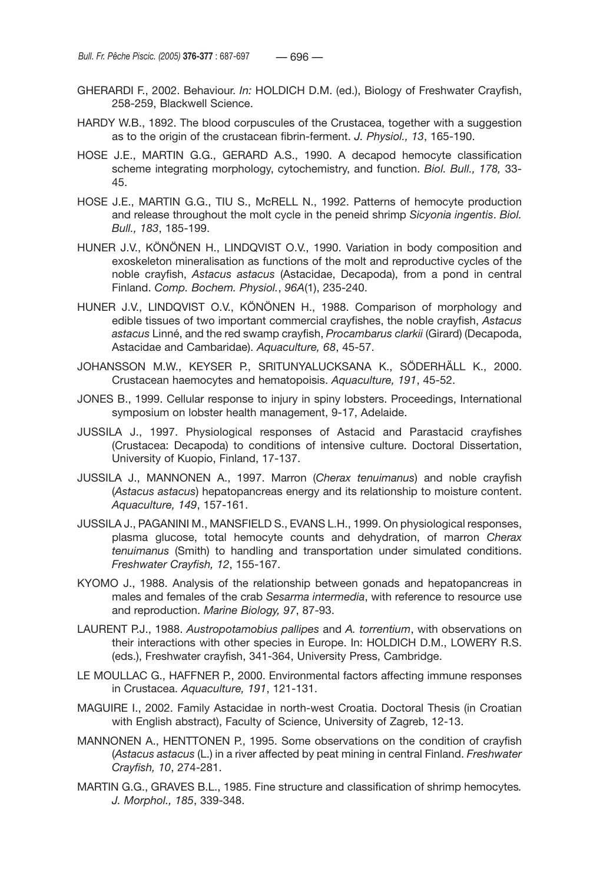- GHERARDI F., 2002. Behaviour. *In:* HOLDICH D.M. (ed.), Biology of Freshwater Crayfish, 258-259, Blackwell Science.
- HARDY W.B., 1892. The blood corpuscules of the Crustacea, together with a suggestion as to the origin of the crustacean fibrin-ferment. *J. Physiol., 13*, 165-190.
- HOSE J.E., MARTIN G.G., GERARD A.S., 1990. A decapod hemocyte classification scheme integrating morphology, cytochemistry, and function. *Biol. Bull., 178,* 33- 45.
- HOSE J.E., MARTIN G.G., TIU S., McRELL N., 1992. Patterns of hemocyte production and release throughout the molt cycle in the peneid shrimp *Sicyonia ingentis*. *Biol. Bull., 183*, 185-199.
- HUNER J.V., KÖNÖNEN H., LINDQVIST O.V., 1990. Variation in body composition and exoskeleton mineralisation as functions of the molt and reproductive cycles of the noble crayfish, *Astacus astacus* (Astacidae, Decapoda), from a pond in central Finland. *Comp. Bochem. Physiol.*, *96A*(1), 235-240.
- HUNER J.V., LINDQVIST O.V., KÖNÖNEN H., 1988. Comparison of morphology and edible tissues of two important commercial crayfishes, the noble crayfish, *Astacus astacus* Linné, and the red swamp crayfish, *Procambarus clarkii* (Girard) (Decapoda, Astacidae and Cambaridae). *Aquaculture, 68*, 45-57.
- JOHANSSON M.W., KEYSER P., SRITUNYALUCKSANA K., SÖDERHÄLL K., 2000. Crustacean haemocytes and hematopoisis. *Aquaculture, 191*, 45-52.
- JONES B., 1999. Cellular response to injury in spiny lobsters. Proceedings, International symposium on lobster health management, 9-17, Adelaide.
- JUSSILA J., 1997. Physiological responses of Astacid and Parastacid crayfishes (Crustacea: Decapoda) to conditions of intensive culture. Doctoral Dissertation, University of Kuopio, Finland, 17-137.
- JUSSILA J., MANNONEN A., 1997. Marron (*Cherax tenuimanus*) and noble crayfish (*Astacus astacus*) hepatopancreas energy and its relationship to moisture content. *Aquaculture, 149*, 157-161.
- JUSSILA J., PAGANINI M., MANSFIELD S., EVANS L.H., 1999. On physiological responses, plasma glucose, total hemocyte counts and dehydration, of marron *Cherax tenuimanus* (Smith) to handling and transportation under simulated conditions. *Freshwater Crayfish, 12*, 155-167.
- KYOMO J., 1988. Analysis of the relationship between gonads and hepatopancreas in males and females of the crab *Sesarma intermedia*, with reference to resource use and reproduction. *Marine Biology, 97*, 87-93.
- LAURENT P.J., 1988. *Austropotamobius pallipes* and *A. torrentium*, with observations on their interactions with other species in Europe. In: HOLDICH D.M., LOWERY R.S. (eds.), Freshwater crayfish, 341-364, University Press, Cambridge.
- LE MOULLAC G., HAFFNER P., 2000. Environmental factors affecting immune responses in Crustacea. *Aquaculture, 191*, 121-131.
- MAGUIRE I., 2002. Family Astacidae in north-west Croatia. Doctoral Thesis (in Croatian with English abstract), Faculty of Science, University of Zagreb, 12-13.
- MANNONEN A., HENTTONEN P., 1995. Some observations on the condition of crayfish (*Astacus astacus* (L.) in a river affected by peat mining in central Finland. *Freshwater Crayfish, 10*, 274-281.
- MARTIN G.G., GRAVES B.L., 1985. Fine structure and classification of shrimp hemocytes*. J. Morphol., 185*, 339-348.